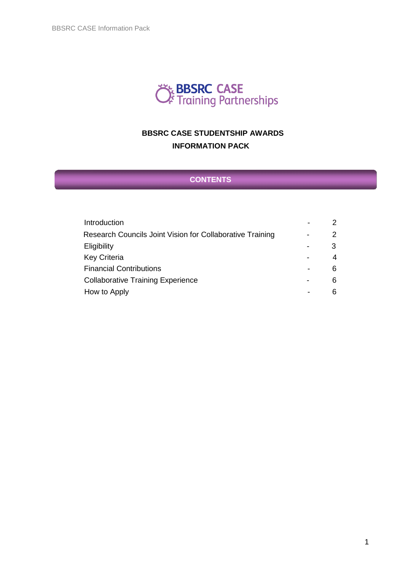

# **BBSRC CASE STUDENTSHIP AWARDS INFORMATION PACK**

# **CONTENTS**

| Introduction                                              |    |
|-----------------------------------------------------------|----|
| Research Councils Joint Vision for Collaborative Training | 2  |
| Eligibility                                               | 3  |
| <b>Key Criteria</b>                                       | 4  |
| <b>Financial Contributions</b>                            | 6. |
| <b>Collaborative Training Experience</b>                  | 6. |
| How to Apply                                              | 6  |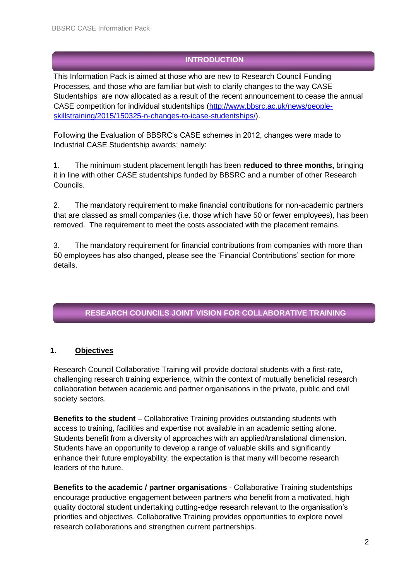# **INTRODUCTION**

This Information Pack is aimed at those who are new to Research Council Funding Processes, and those who are familiar but wish to clarify changes to the way CASE Studentships are now allocated as a result of the recent announcement to cease the annual CASE competition for individual studentships [\(http://www.bbsrc.ac.uk/news/people](http://www.bbsrc.ac.uk/news/people-skills-training/2015/150325-n-changes-to-icase-studentships/)[skillstraining/2015/150325-n-changes-to-icase-studentships/\).](http://www.bbsrc.ac.uk/news/people-skills-training/2015/150325-n-changes-to-icase-studentships/)

Following the Evaluation of BBSRC's CASE schemes in 2012, changes were made to Industrial CASE Studentship awards; namely:

1. The minimum student placement length has been **reduced to three months,** bringing it in line with other CASE studentships funded by BBSRC and a number of other Research Councils.

2. The mandatory requirement to make financial contributions for non-academic partners that are classed as small companies (i.e. those which have 50 or fewer employees), has been removed. The requirement to meet the costs associated with the placement remains.

3. The mandatory requirement for financial contributions from companies with more than 50 employees has also changed, please see the 'Financial Contributions' section for more details.

# **RESEARCH COUNCILS JOINT VISION FOR COLLABORATIVE TRAINING**

### **1. Objectives**

Research Council Collaborative Training will provide doctoral students with a first-rate, challenging research training experience, within the context of mutually beneficial research collaboration between academic and partner organisations in the private, public and civil society sectors.

**Benefits to the student** – Collaborative Training provides outstanding students with access to training, facilities and expertise not available in an academic setting alone. Students benefit from a diversity of approaches with an applied/translational dimension. Students have an opportunity to develop a range of valuable skills and significantly enhance their future employability; the expectation is that many will become research leaders of the future.

**Benefits to the academic / partner organisations** - Collaborative Training studentships encourage productive engagement between partners who benefit from a motivated, high quality doctoral student undertaking cutting-edge research relevant to the organisation's priorities and objectives. Collaborative Training provides opportunities to explore novel research collaborations and strengthen current partnerships.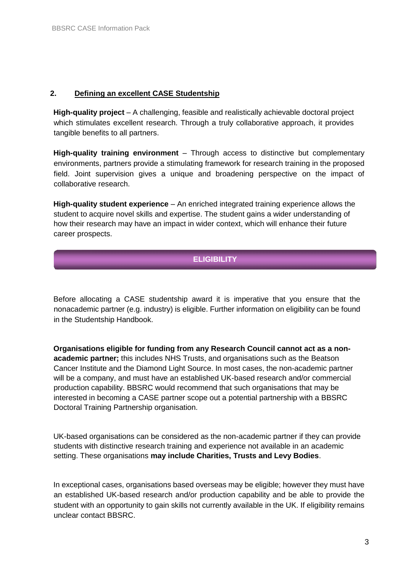#### **2. Defining an excellent CASE Studentship**

**High-quality project** – A challenging, feasible and realistically achievable doctoral project which stimulates excellent research. Through a truly collaborative approach, it provides tangible benefits to all partners.

**High-quality training environment** – Through access to distinctive but complementary environments, partners provide a stimulating framework for research training in the proposed field. Joint supervision gives a unique and broadening perspective on the impact of collaborative research.

**High-quality student experience** – An enriched integrated training experience allows the student to acquire novel skills and expertise. The student gains a wider understanding of how their research may have an impact in wider context, which will enhance their future career prospects.

### **ELIGIBILITY**

Before allocating a CASE studentship award it is imperative that you ensure that the nonacademic partner (e.g. industry) is eligible. Further information on eligibility can be found in the Studentship Handbook.

**Organisations eligible for funding from any Research Council cannot act as a nonacademic partner;** this includes NHS Trusts, and organisations such as the Beatson Cancer Institute and the Diamond Light Source. In most cases, the non-academic partner will be a company, and must have an established UK-based research and/or commercial production capability. BBSRC would recommend that such organisations that may be interested in becoming a CASE partner scope out a potential partnership with a BBSRC Doctoral Training Partnership organisation.

UK-based organisations can be considered as the non-academic partner if they can provide students with distinctive research training and experience not available in an academic setting. These organisations **may include Charities, Trusts and Levy Bodies**.

In exceptional cases, organisations based overseas may be eligible; however they must have an established UK-based research and/or production capability and be able to provide the student with an opportunity to gain skills not currently available in the UK. If eligibility remains unclear contact BBSRC.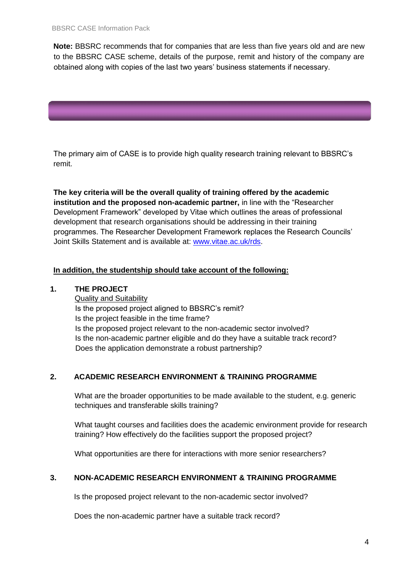**Note:** BBSRC recommends that for companies that are less than five years old and are new to the BBSRC CASE scheme, details of the purpose, remit and history of the company are obtained along with copies of the last two years' business statements if necessary.



The primary aim of CASE is to provide high quality research training relevant to BBSRC's remit.

**The key criteria will be the overall quality of training offered by the academic institution and the proposed non-academic partner,** in line with the "Researcher Development Framework" developed by Vitae which outlines the areas of professional development that research organisations should be addressing in their training programmes. The Researcher Development Framework replaces the Research Councils' Joint Skills Statement and is available at: [www.vitae.ac.uk/rds.](http://www.vitae.ac.uk/rds)

#### **In addition, the studentship should take account of the following:**

#### **1. THE PROJECT**

Quality and Suitability Is the proposed project aligned to BBSRC's remit? Is the project feasible in the time frame? Is the proposed project relevant to the non-academic sector involved? Is the non-academic partner eligible and do they have a suitable track record? Does the application demonstrate a robust partnership?

#### **2. ACADEMIC RESEARCH ENVIRONMENT & TRAINING PROGRAMME**

What are the broader opportunities to be made available to the student, e.g. generic techniques and transferable skills training?

What taught courses and facilities does the academic environment provide for research training? How effectively do the facilities support the proposed project?

What opportunities are there for interactions with more senior researchers?

#### **3. NON-ACADEMIC RESEARCH ENVIRONMENT & TRAINING PROGRAMME**

Is the proposed project relevant to the non-academic sector involved?

Does the non-academic partner have a suitable track record?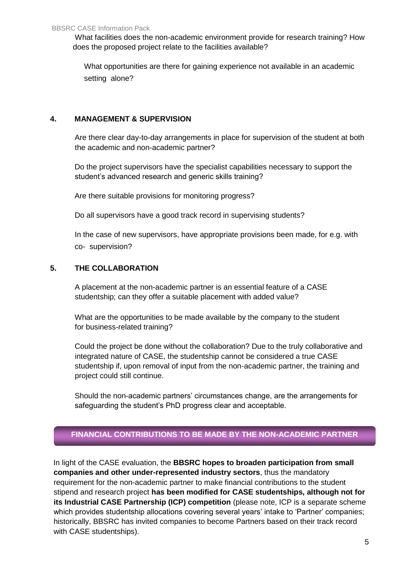What facilities does the non-academic environment provide for research training? How does the proposed project relate to the facilities available?

What opportunities are there for gaining experience not available in an academic setting alone?

### **4. MANAGEMENT & SUPERVISION**

Are there clear day-to-day arrangements in place for supervision of the student at both the academic and non-academic partner?

Do the project supervisors have the specialist capabilities necessary to support the student's advanced research and generic skills training?

Are there suitable provisions for monitoring progress?

Do all supervisors have a good track record in supervising students?

In the case of new supervisors, have appropriate provisions been made, for e.g. with co- supervision?

### **5. THE COLLABORATION**

A placement at the non-academic partner is an essential feature of a CASE studentship; can they offer a suitable placement with added value?

What are the opportunities to be made available by the company to the student for business-related training?

Could the project be done without the collaboration? Due to the truly collaborative and integrated nature of CASE, the studentship cannot be considered a true CASE studentship if, upon removal of input from the non-academic partner, the training and project could still continue.

Should the non-academic partners' circumstances change, are the arrangements for safeguarding the student's PhD progress clear and acceptable.

# **FINANCIAL CONTRIBUTIONS TO BE MADE BY THE NON-ACADEMIC PARTNER**

In light of the CASE evaluation, the **BBSRC hopes to broaden participation from small companies and other under-represented industry sectors**, thus the mandatory requirement for the non-academic partner to make financial contributions to the student stipend and research project **has been modified for CASE studentships, although not for its Industrial CASE Partnership (ICP) competition** (please note, ICP is a separate scheme which provides studentship allocations covering several years' intake to 'Partner' companies; historically, BBSRC has invited companies to become Partners based on their track record with CASE studentships).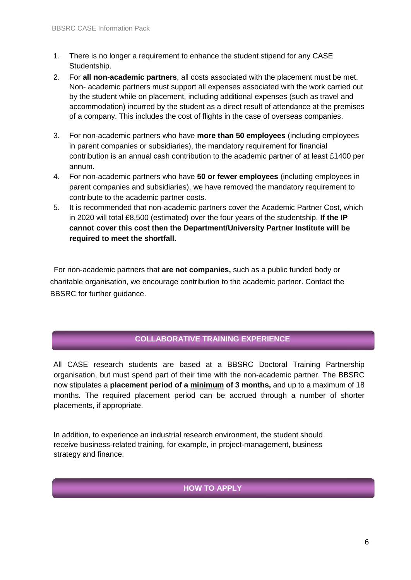- 1. There is no longer a requirement to enhance the student stipend for any CASE Studentship.
- 2. For **all non-academic partners**, all costs associated with the placement must be met. Non- academic partners must support all expenses associated with the work carried out by the student while on placement, including additional expenses (such as travel and accommodation) incurred by the student as a direct result of attendance at the premises of a company. This includes the cost of flights in the case of overseas companies.
- 3. For non-academic partners who have **more than 50 employees** (including employees in parent companies or subsidiaries), the mandatory requirement for financial contribution is an annual cash contribution to the academic partner of at least £1400 per annum.
- 4. For non-academic partners who have **50 or fewer employees** (including employees in parent companies and subsidiaries), we have removed the mandatory requirement to contribute to the academic partner costs.
- 5. It is recommended that non-academic partners cover the Academic Partner Cost, which in 2020 will total £8,500 (estimated) over the four years of the studentship. **If the IP cannot cover this cost then the Department/University Partner Institute will be required to meet the shortfall.**

For non-academic partners that **are not companies,** such as a public funded body or charitable organisation, we encourage contribution to the academic partner. Contact the BBSRC for further guidance.

# **COLLABORATIVE TRAINING EXPERIENCE**

All CASE research students are based at a BBSRC Doctoral Training Partnership organisation, but must spend part of their time with the non-academic partner. The BBSRC now stipulates a **placement period of a minimum of 3 months,** and up to a maximum of 18 months. The required placement period can be accrued through a number of shorter placements, if appropriate.

In addition, to experience an industrial research environment, the student should receive business-related training, for example, in project-management, business strategy and finance.

#### **HOW TO APPLY**